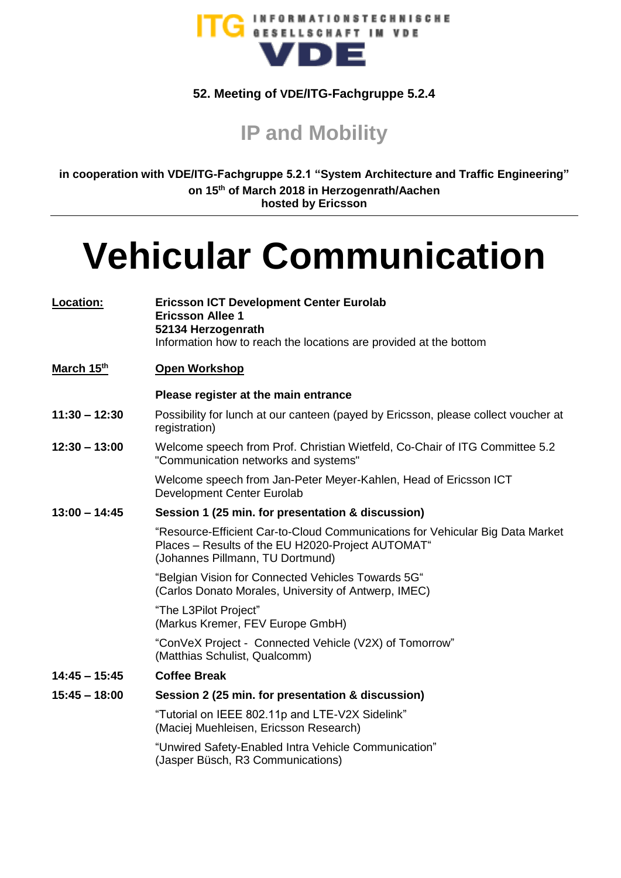

## **52. Meeting of VDE/ITG-Fachgruppe 5.2.4**

**IP and Mobility**

**in cooperation with VDE/ITG-Fachgruppe 5.2.1 "System Architecture and Traffic Engineering" on 15th of March 2018 in Herzogenrath/Aachen hosted by Ericsson**

## **Vehicular Communication**

| Location:       | <b>Ericsson ICT Development Center Eurolab</b><br><b>Ericsson Allee 1</b><br>52134 Herzogenrath<br>Information how to reach the locations are provided at the bottom   |
|-----------------|------------------------------------------------------------------------------------------------------------------------------------------------------------------------|
| March 15th      | <b>Open Workshop</b>                                                                                                                                                   |
|                 | Please register at the main entrance                                                                                                                                   |
| $11:30 - 12:30$ | Possibility for lunch at our canteen (payed by Ericsson, please collect voucher at<br>registration)                                                                    |
| $12:30 - 13:00$ | Welcome speech from Prof. Christian Wietfeld, Co-Chair of ITG Committee 5.2<br>"Communication networks and systems"                                                    |
|                 | Welcome speech from Jan-Peter Meyer-Kahlen, Head of Ericsson ICT<br>Development Center Eurolab                                                                         |
| $13:00 - 14:45$ | Session 1 (25 min. for presentation & discussion)                                                                                                                      |
|                 | "Resource-Efficient Car-to-Cloud Communications for Vehicular Big Data Market<br>Places – Results of the EU H2020-Project AUTOMAT"<br>(Johannes Pillmann, TU Dortmund) |
|                 | "Belgian Vision for Connected Vehicles Towards 5G"<br>(Carlos Donato Morales, University of Antwerp, IMEC)                                                             |
|                 | "The L3Pilot Project"<br>(Markus Kremer, FEV Europe GmbH)                                                                                                              |
|                 | "ConVeX Project - Connected Vehicle (V2X) of Tomorrow"<br>(Matthias Schulist, Qualcomm)                                                                                |
| $14:45 - 15:45$ | <b>Coffee Break</b>                                                                                                                                                    |
| $15:45 - 18:00$ | Session 2 (25 min. for presentation & discussion)                                                                                                                      |
|                 | "Tutorial on IEEE 802.11p and LTE-V2X Sidelink"<br>(Maciej Muehleisen, Ericsson Research)                                                                              |
|                 | "Unwired Safety-Enabled Intra Vehicle Communication"<br>(Jasper Büsch, R3 Communications)                                                                              |